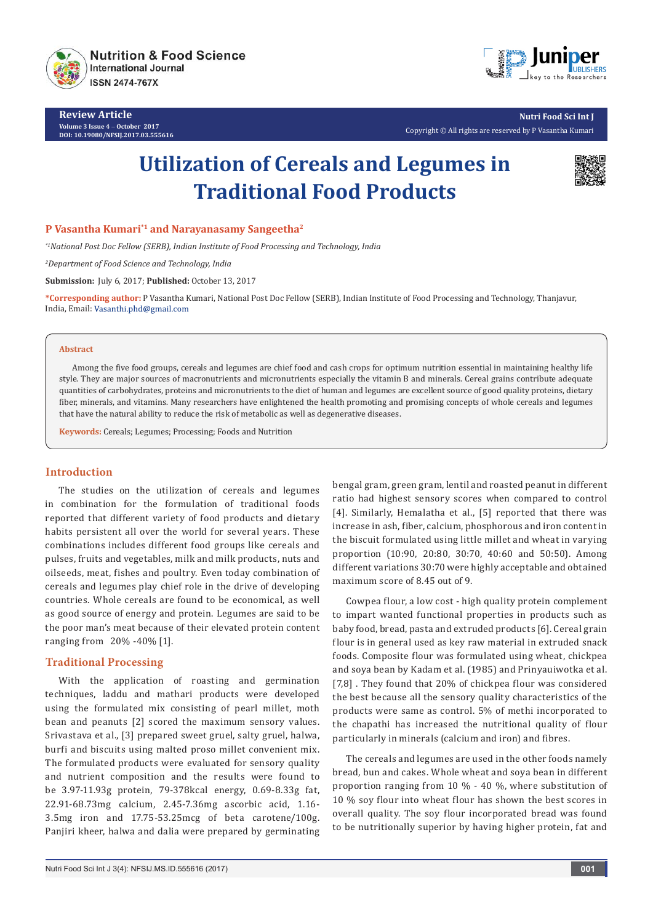

**Review Article Volume 3 Issue 4** - **October 2017 DOI: 10.19080/NFSIJ.2017.03.555616**



**Nutri Food Sci Int J** Copyright © All rights are reserved by P Vasantha Kumari

# **Utilization of Cereals and Legumes in Traditional Food Products**



## **P Vasantha Kumari\*1 and Narayanasamy Sangeetha2**

*\*1National Post Doc Fellow (SERB), Indian Institute of Food Processing and Technology, India*

*2 Department of Food Science and Technology, India*

**Submission:** July 6, 2017; **Published:** October 13, 2017

**\*Corresponding author:** P Vasantha Kumari, National Post Doc Fellow (SERB), Indian Institute of Food Processing and Technology, Thanjavur, India, Email: Vasanthi.phd@gmail.com

#### **Abstract**

Among the five food groups, cereals and legumes are chief food and cash crops for optimum nutrition essential in maintaining healthy life style. They are major sources of macronutrients and micronutrients especially the vitamin B and minerals. Cereal grains contribute adequate quantities of carbohydrates, proteins and micronutrients to the diet of human and legumes are excellent source of good quality proteins, dietary fiber, minerals, and vitamins. Many researchers have enlightened the health promoting and promising concepts of whole cereals and legumes that have the natural ability to reduce the risk of metabolic as well as degenerative diseases.

**Keywords:** Cereals; Legumes; Processing; Foods and Nutrition

# **Introduction**

The studies on the utilization of cereals and legumes in combination for the formulation of traditional foods reported that different variety of food products and dietary habits persistent all over the world for several years. These combinations includes different food groups like cereals and pulses, fruits and vegetables, milk and milk products, nuts and oilseeds, meat, fishes and poultry. Even today combination of cereals and legumes play chief role in the drive of developing countries. Whole cereals are found to be economical, as well as good source of energy and protein. Legumes are said to be the poor man's meat because of their elevated protein content ranging from 20% -40% [1].

## **Traditional Processing**

With the application of roasting and germination techniques, laddu and mathari products were developed using the formulated mix consisting of pearl millet, moth bean and peanuts [2] scored the maximum sensory values. Srivastava et al., [3] prepared sweet gruel, salty gruel, halwa, burfi and biscuits using malted proso millet convenient mix. The formulated products were evaluated for sensory quality and nutrient composition and the results were found to be 3.97-11.93g protein, 79-378kcal energy, 0.69-8.33g fat, 22.91-68.73mg calcium, 2.45-7.36mg ascorbic acid, 1.16- 3.5mg iron and 17.75-53.25mcg of beta carotene/100g. Panjiri kheer, halwa and dalia were prepared by germinating bengal gram, green gram, lentil and roasted peanut in different ratio had highest sensory scores when compared to control [4]. Similarly, Hemalatha et al., [5] reported that there was increase in ash, fiber, calcium, phosphorous and iron content in the biscuit formulated using little millet and wheat in varying proportion (10:90, 20:80, 30:70, 40:60 and 50:50). Among different variations 30:70 were highly acceptable and obtained maximum score of 8.45 out of 9.

Cowpea flour, a low cost - high quality protein complement to impart wanted functional properties in products such as baby food, bread, pasta and extruded products [6]. Cereal grain flour is in general used as key raw material in extruded snack foods. Composite flour was formulated using wheat, chickpea and soya bean by Kadam et al. (1985) and Prinyauiwotka et al. [7,8] . They found that 20% of chickpea flour was considered the best because all the sensory quality characteristics of the products were same as control. 5% of methi incorporated to the chapathi has increased the nutritional quality of flour particularly in minerals (calcium and iron) and fibres.

The cereals and legumes are used in the other foods namely bread, bun and cakes. Whole wheat and soya bean in different proportion ranging from 10 % - 40 %, where substitution of 10 % soy flour into wheat flour has shown the best scores in overall quality. The soy flour incorporated bread was found to be nutritionally superior by having higher protein, fat and